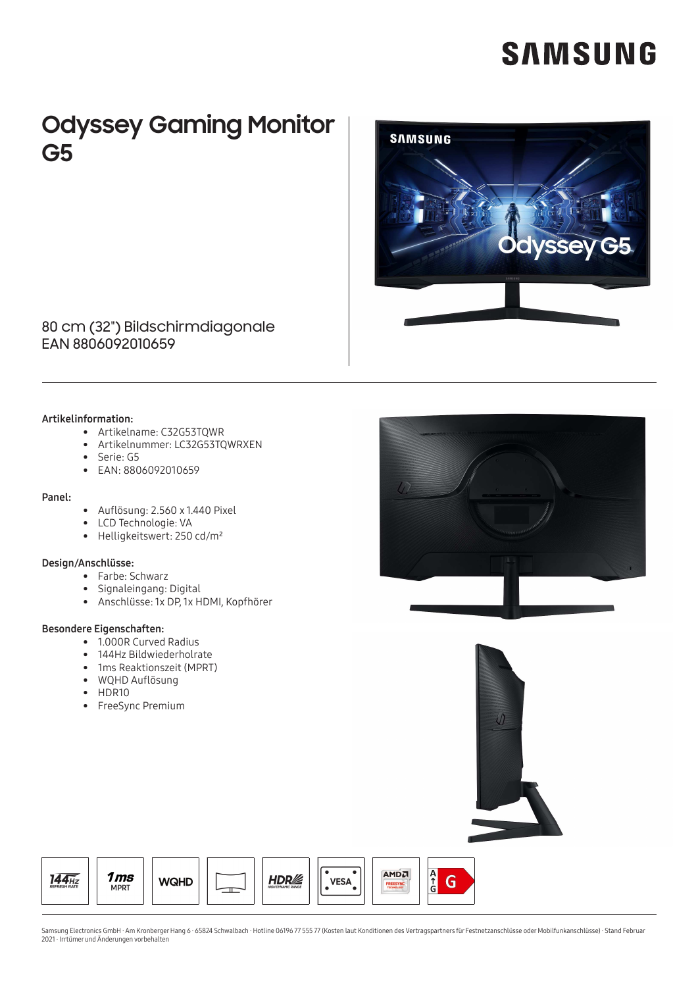# **SAMSUNG**

### **Odyssey Gaming Monitor** G<sub>5</sub>



80 cm (32") Bildschirmdiagonale EAN 8806092010659

#### Artikelinformation:

- Artikelname: C32G53TQWR
- Artikelnummer: LC32G53TQWRXEN
- Serie: G5
- EAN: 8806092010659

#### Panel:

- Auflösung: 2.560 x 1.440 Pixel
- LCD Technologie: VA
- Helligkeitswert: 250 cd/m<sup>2</sup>

#### Design/Anschlüsse:

- Farbe: Schwarz
- Signaleingang: Digital
- Anschlüsse: 1x DP, 1x HDMI, Kopfhörer

#### Besondere Eigenschaften:

- 1.000R Curved Radius
- 144Hz Bildwiederholrate
- 1ms Reaktionszeit (MPRT)
- WQHD Auflösung
- $\bullet$  HDR10
- FreeSync Premium







Samsung Electronics GmbH · Am Kronberger Hang 6 · 65824 Schwalbach · Hotline 06196 77 555 77 (Kosten laut Konditionen des Vertragspartners für Festnetzanschlüsse oder Mobilfunkanschlüsse) · Stand Februar<br>2021 · Irrtümer un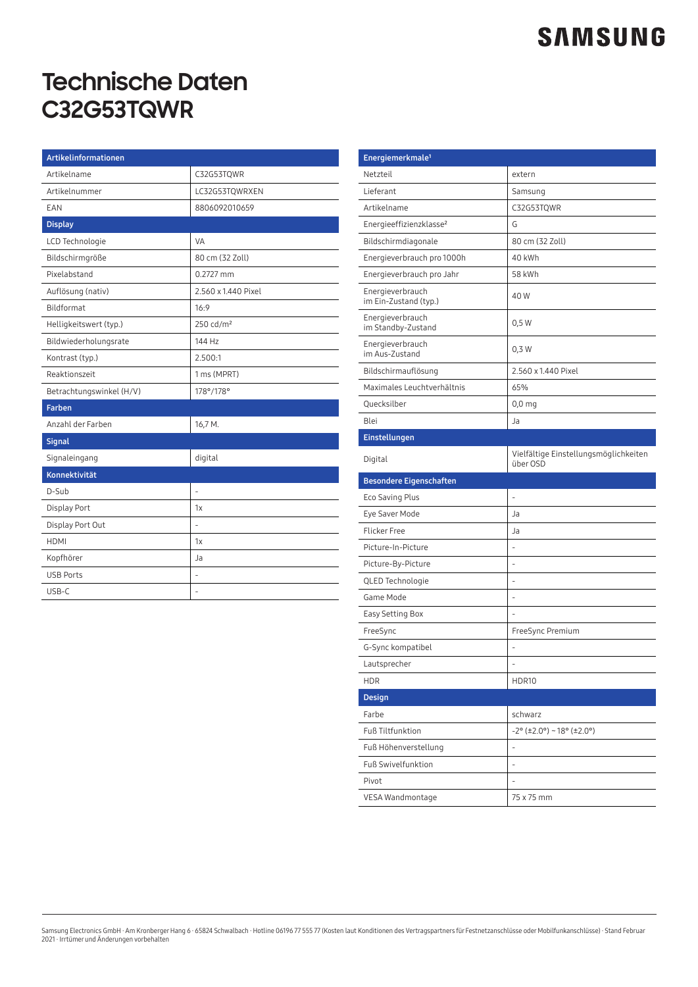## **SAMSUNG**

## **Technische Daten C32G53TQWR**

| Artikelinformationen     |                          |
|--------------------------|--------------------------|
| Artikelname              | C32G53TQWR               |
| Artikelnummer            | LC32G53TQWRXEN           |
| EAN                      | 8806092010659            |
| <b>Display</b>           |                          |
| LCD Technologie          | VA                       |
| Bildschirmgröße          | 80 cm (32 Zoll)          |
| Pixelabstand             | $0.2727$ mm              |
| Auflösung (nativ)        | 2.560 x 1.440 Pixel      |
| Bildformat               | 16:9                     |
| Helligkeitswert (typ.)   | 250 cd/m <sup>2</sup>    |
| Bildwiederholungsrate    | 144 Hz                   |
| Kontrast (typ.)          | 2.500:1                  |
| Reaktionszeit            | 1 ms (MPRT)              |
| Betrachtungswinkel (H/V) | 178°/178°                |
| <b>Farben</b>            |                          |
| Anzahl der Farben        | 16,7 M.                  |
| <b>Signal</b>            |                          |
| Signaleingang            | digital                  |
| Konnektivität            |                          |
| D-Sub                    | ÷.                       |
| Display Port             | 1x                       |
| Display Port Out         |                          |
| <b>HDMI</b>              | 1x                       |
| Kopfhörer                | Ja                       |
| <b>USB Ports</b>         | $\overline{\phantom{a}}$ |
| USB-C                    |                          |
|                          |                          |

| Energiemerkmale <sup>1</sup>              |                                                   |
|-------------------------------------------|---------------------------------------------------|
| Netzteil                                  | extern                                            |
| Lieferant                                 | Samsung                                           |
| Artikelname                               | C32G53TQWR                                        |
| Energieeffizienzklasse <sup>2</sup>       | G                                                 |
| Bildschirmdiagonale                       | 80 cm (32 Zoll)                                   |
| Energieverbrauch pro 1000h                | 40 kWh                                            |
| Energieverbrauch pro Jahr                 | 58 kWh                                            |
| Energieverbrauch<br>im Ein-Zustand (typ.) | 40 W                                              |
| Energieverbrauch<br>im Standby-Zustand    | 0,5W                                              |
| Energieverbrauch<br>im Aus-Zustand        | $0,3$ W                                           |
| Bildschirmauflösung                       | 2.560 x 1.440 Pixel                               |
| Maximales Leuchtverhältnis                | 65%                                               |
| Quecksilber                               | $0,0$ mg                                          |
| Blei                                      | Ja                                                |
| Einstellungen                             |                                                   |
| Digital                                   | Vielfältige Einstellungsmöglichkeiten<br>über OSD |
| <b>Besondere Eigenschaften</b>            |                                                   |
| Eco Saving Plus                           | $\overline{\phantom{0}}$                          |
| Eye Saver Mode                            | Ja                                                |
| <b>Flicker Free</b>                       | Ja                                                |
| Picture-In-Picture                        | ÷,                                                |
| Picture-By-Picture                        | -                                                 |
| QLED Technologie                          | ÷,                                                |
| Game Mode                                 |                                                   |
| Easy Setting Box                          |                                                   |
| FreeSync                                  | FreeSync Premium                                  |
| G-Sync kompatibel                         |                                                   |
| Lautsprecher                              |                                                   |
| HDR                                       | HDR10                                             |
| Design                                    |                                                   |
| Farbe                                     |                                                   |
|                                           | schwarz                                           |
| Fuß Tiltfunktion                          | $-2^{\circ}$ (±2.0°) ~ 18° (±2.0°)                |
| Fuß Höhenverstellung                      | ÷,                                                |
| Fuß Swivelfunktion                        | ÷                                                 |
| Pivot                                     | $\overline{a}$                                    |
| VESA Wandmontage                          | 75 x 75 mm                                        |